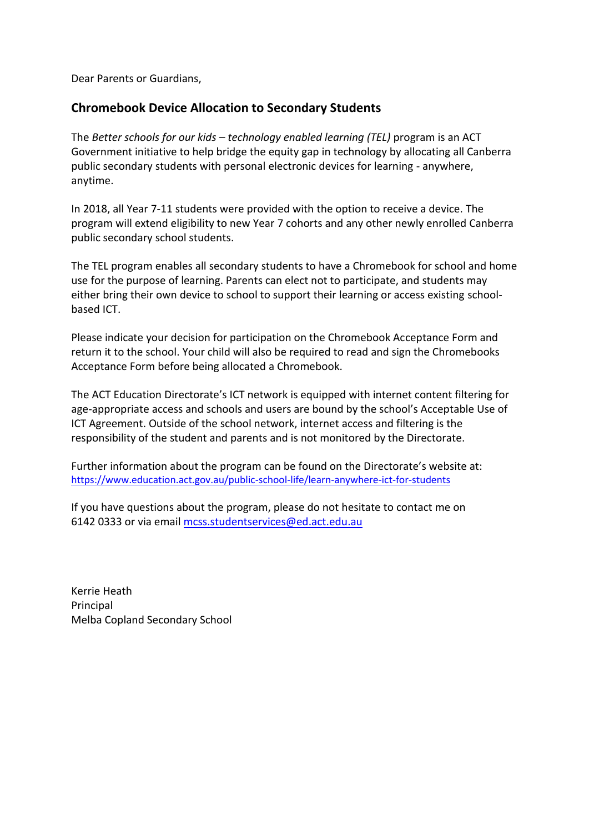Dear Parents or Guardians,

# **Chromebook Device Allocation to Secondary Students**

The *Better schools for our kids – technology enabled learning (TEL)* program is an ACT Government initiative to help bridge the equity gap in technology by allocating all Canberra public secondary students with personal electronic devices for learning - anywhere, anytime.

In 2018, all Year 7-11 students were provided with the option to receive a device. The program will extend eligibility to new Year 7 cohorts and any other newly enrolled Canberra public secondary school students.

The TEL program enables all secondary students to have a Chromebook for school and home use for the purpose of learning. Parents can elect not to participate, and students may either bring their own device to school to support their learning or access existing schoolbased ICT.

Please indicate your decision for participation on the Chromebook Acceptance Form and return it to the school. Your child will also be required to read and sign the Chromebooks Acceptance Form before being allocated a Chromebook.

The ACT Education Directorate's ICT network is equipped with internet content filtering for age-appropriate access and schools and users are bound by the school's Acceptable Use of ICT Agreement. Outside of the school network, internet access and filtering is the responsibility of the student and parents and is not monitored by the Directorate.

Further information about the program can be found on the Directorate's website at: <https://www.education.act.gov.au/public-school-life/learn-anywhere-ict-for-students>

If you have questions about the program, please do not hesitate to contact me on 6142 0333 or via email [mcss.studentservices@ed.act.edu.au](mailto:mcss.studentservices@ed.act.edu.au)

Kerrie Heath Principal Melba Copland Secondary School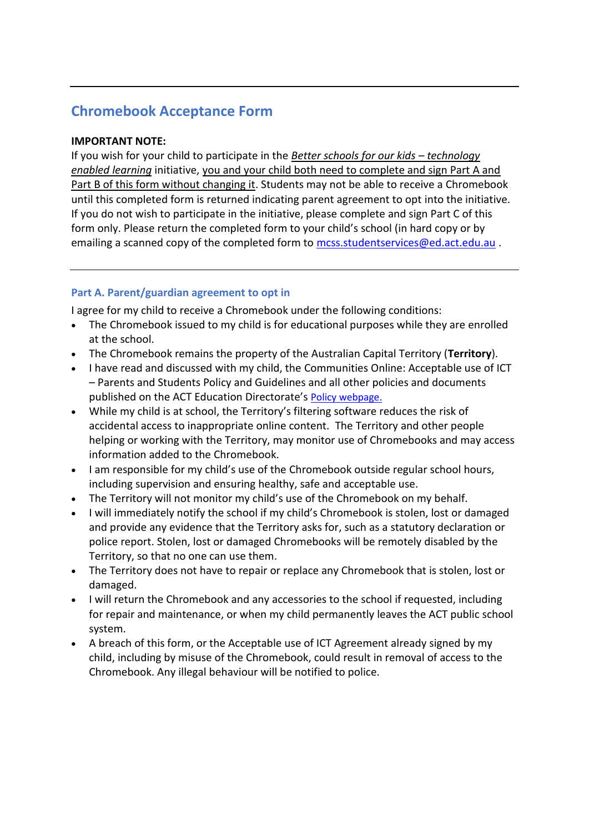# **Chromebook Acceptance Form**

## **IMPORTANT NOTE:**

If you wish for your child to participate in the *[Better schools for our kids](https://www.education.act.gov.au/teaching_and_learning/learn-anywhere-ict-for-students/better-schools-for-our-kids-technology-enabled-learning) – technology [enabled learning](https://www.education.act.gov.au/teaching_and_learning/learn-anywhere-ict-for-students/better-schools-for-our-kids-technology-enabled-learning)* initiative, you and your child both need to complete and sign Part A and Part B of this form without changing it. Students may not be able to receive a Chromebook until this completed form is returned indicating parent agreement to opt into the initiative. If you do not wish to participate in the initiative, please complete and sign Part C of this form only. Please return the completed form to your child's school (in hard copy or by emailing a scanned copy of the completed form to<mcss.studentservices@ed.act.edu.au>.

## **Part A. Parent/guardian agreement to opt in**

I agree for my child to receive a Chromebook under the following conditions:

- The Chromebook issued to my child is for educational purposes while they are enrolled at the school.
- The Chromebook remains the property of the Australian Capital Territory (**Territory**).
- I have read and discussed with my child, the Communities Online: Acceptable use of ICT – Parents and Students Policy and Guidelines and all other policies and documents published on the ACT Education Directorate's [Policy webpage.](https://www.education.act.gov.au/publications_and_policies/policies)
- While my child is at school, the Territory's filtering software reduces the risk of accidental access to inappropriate online content. The Territory and other people helping or working with the Territory, may monitor use of Chromebooks and may access information added to the Chromebook.
- I am responsible for my child's use of the Chromebook outside regular school hours, including supervision and ensuring healthy, safe and acceptable use.
- The Territory will not monitor my child's use of the Chromebook on my behalf.
- I will immediately notify the school if my child's Chromebook is stolen, lost or damaged and provide any evidence that the Territory asks for, such as a statutory declaration or police report. Stolen, lost or damaged Chromebooks will be remotely disabled by the Territory, so that no one can use them.
- The Territory does not have to repair or replace any Chromebook that is stolen, lost or damaged.
- I will return the Chromebook and any accessories to the school if requested, including for repair and maintenance, or when my child permanently leaves the ACT public school system.
- A breach of this form, or the Acceptable use of ICT Agreement already signed by my child, including by misuse of the Chromebook, could result in removal of access to the Chromebook. Any illegal behaviour will be notified to police.